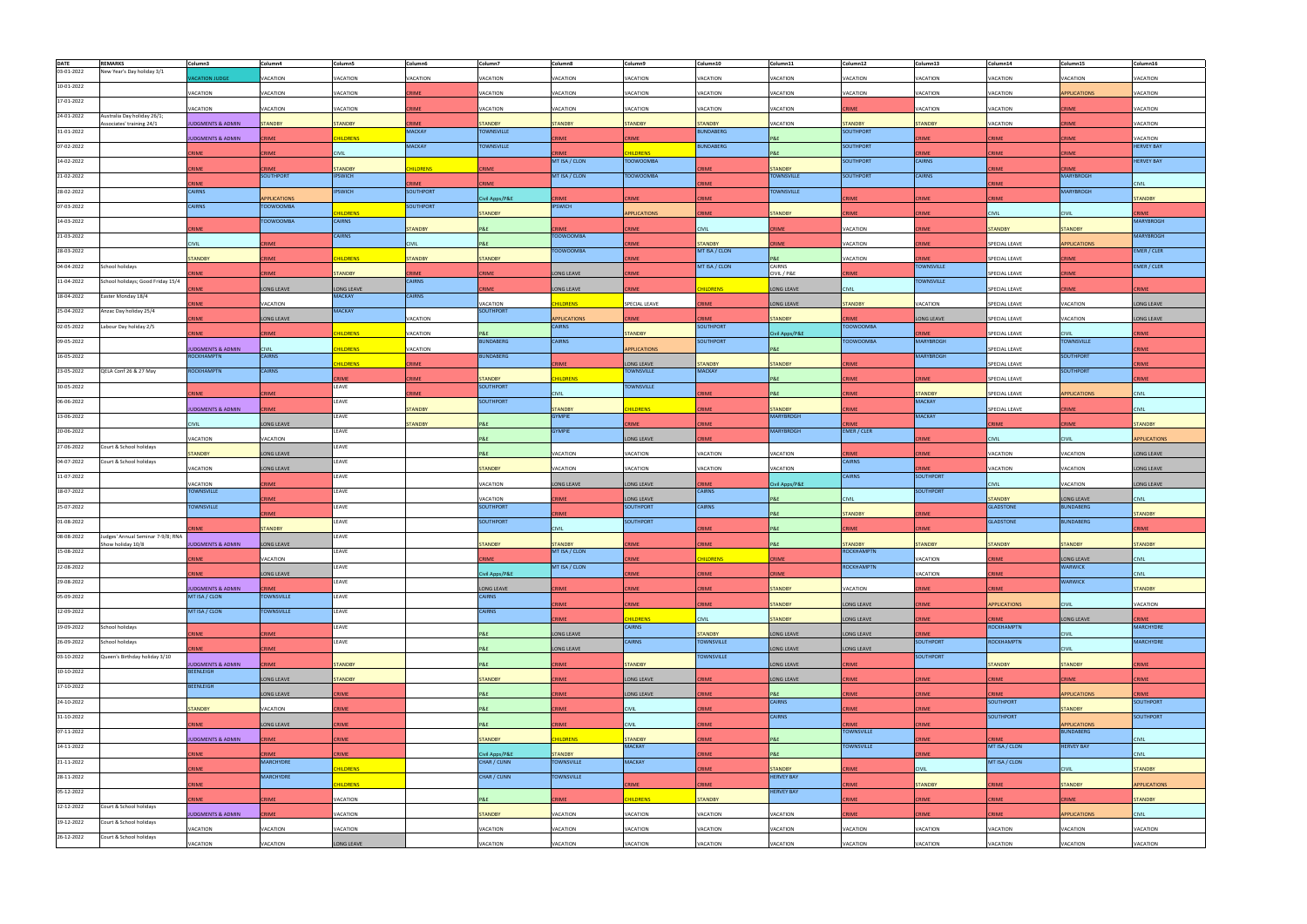| <b>DATE</b> | <b>REMARKS</b>                                         | Column3                                   | Column4                       | Column5                          | Column6                       | Column7                             | Column8             | Column9                         | Column10                           | Column11                            | Column12                   | Column13                         | Column14                      | Column15                        | Column16                         |
|-------------|--------------------------------------------------------|-------------------------------------------|-------------------------------|----------------------------------|-------------------------------|-------------------------------------|---------------------|---------------------------------|------------------------------------|-------------------------------------|----------------------------|----------------------------------|-------------------------------|---------------------------------|----------------------------------|
| 03-01-2022  | New Year's Day holiday 3/1                             | <b>ACATION JUDGE</b>                      | VACATION                      | VACATION                         | VACATION                      | VACATION                            | VACATION            | VACATION                        | VACATION                           | VACATION                            | VACATION                   | VACATION                         | VACATION                      | VACATION                        | VACATION                         |
| 10-01-2022  |                                                        |                                           |                               |                                  |                               |                                     |                     |                                 |                                    |                                     |                            |                                  |                               |                                 |                                  |
|             |                                                        | VACATION                                  | <b>/ACATION</b>               | VACATION                         | CRIME                         | VACATION                            | VACATION            | VACATION                        | VACATION                           | VACATION                            | VACATION                   | VACATION                         | VACATION                      | <b>PPLICATIONS</b>              | VACATION                         |
| 17-01-2022  |                                                        | VACATION                                  | VACATION                      | VACATION                         | <b>CRIME</b>                  | VACATION                            | VACATION            | VACATION                        | VACATION                           | VACATION                            | <b>RIME</b>                | <b>VACATION</b>                  | VACATION                      | CRIME                           | VACATION                         |
| 24-01-2022  | Australia Day holiday 26/1;                            |                                           |                               |                                  |                               |                                     |                     |                                 |                                    |                                     |                            |                                  |                               |                                 |                                  |
| 31-01-2022  | Associates' training 24/1                              | <b>UDGMENTS &amp; ADMIN</b>               | <b>STANDBY</b>                | <b>STANDBY</b>                   | <b>CRIME</b><br><b>MACKAY</b> | <b>STANDBY</b><br><b>TOWNSVILLE</b> | <b>STANDBY</b>      | <b>STANDBY</b>                  | <b>STANDBY</b><br><b>BUNDABERG</b> | VACATION                            | <b>TANDBY</b><br>SOUTHPORT | <b>STANDBY</b>                   | VACATION                      | RIME                            | VACATION                         |
|             |                                                        | <b>UDGMENTS &amp; ADMIN</b>               | <b>RIME</b>                   | <b>HILDRENS</b>                  |                               |                                     | RIME                | CRIME                           |                                    | <b>P&amp;E</b>                      |                            | CRIME                            | CRIME                         | <b>CRIME</b>                    | VACATION                         |
| 07-02-2022  |                                                        | RIME                                      | RIME                          | <b>CIVIL</b>                     | <b>MACKAY</b>                 | <b>TOWNSVILLE</b>                   | CRIME               | <b>HILDRENS</b>                 | <b>BUNDABERG</b>                   | <b>P&amp;E</b>                      | SOUTHPORT                  | CRIME                            | CRIME                         | <b>CRIME</b>                    | <b>HERVEY BAY</b>                |
| 14-02-2022  |                                                        |                                           |                               |                                  |                               |                                     | MT ISA / CLON       | <b>TOOWOOMBA</b>                |                                    |                                     | SOUTHPORT                  | <b>CAIRNS</b>                    |                               |                                 | <b>HERVEY BAY</b>                |
| 21-02-2022  |                                                        | RIME                                      | <b>RIME</b><br>SOUTHPORT      | <b>TANDBY</b><br><b>IPSWICH</b>  | <b>HILDRENS</b>               | <b>CRIME</b>                        | MT ISA / CLON       | <b>TOOWOOMBA</b>                | RIMF                               | <b>STANDBY</b><br><b>TOWNSVILLE</b> | SOUTHPORT                  | <b>CAIRNS</b>                    | <b>RIME</b>                   | <b>RIME</b><br><b>MARYBROGH</b> |                                  |
|             |                                                        | <b>CRIME</b>                              |                               |                                  | <b>RIME</b>                   | <b>CRIME</b>                        |                     |                                 | RIME                               |                                     |                            |                                  | <b>CRIME</b>                  |                                 | <b>CIVIL</b>                     |
| 28-02-2022  |                                                        | CAIRNS                                    | <b>PPLICATIONS</b>            | <b>IPSWICH</b>                   | SOUTHPORT                     | ivil Apps/P&E                       | <b>RIME</b>         | <b>RIME</b>                     | CRIME                              | <b>TOWNSVILLE</b>                   | <b>RIME</b>                | CRIME                            | RIME                          | <b>MARYBROGH</b>                | <b>STANDBY</b>                   |
| 07-03-2022  |                                                        | CAIRNS                                    | <b>TOOWOOMBA</b>              |                                  | <b>SOUTHPORT</b>              |                                     | <b>IPSWICH</b>      |                                 |                                    |                                     |                            |                                  |                               |                                 |                                  |
| 14-03-2022  |                                                        |                                           | <b>TOOWOOMBA</b>              | <b>HILDRENS</b><br><b>CAIRNS</b> |                               | <b>STANDBY</b>                      |                     | <b>APPLICATIONS</b>             | RIME                               | <b>STANDBY</b>                      | <b>RIME</b>                | CRIME                            | Civil                         | <b>CIVIL</b>                    | CRIME<br><b>MARYBROGH</b>        |
|             |                                                        | <b>RIME</b>                               |                               |                                  | <b>STANDBY</b>                | P&E                                 | RIME                | CRIME                           | <b>CIVIL</b>                       | RIME                                | VACATION                   | <b>RIME</b>                      | <b>TANDBY</b>                 | <b>STANDBY</b>                  |                                  |
| 21-03-2022  |                                                        | <b>CIVIL</b>                              | <b>IME</b>                    | <b>CAIRNS</b>                    | <b>CIVIL</b>                  | P&E                                 | <b>TOOWOOMBA</b>    | RIME                            | <b>STANDBY</b>                     | <b>RIME</b>                         | VACATION                   | <b>RIME</b>                      | SPECIAL LEAVE                 | APPLICATIONS                    | <b>MARYBROGH</b>                 |
| 28-03-2022  |                                                        |                                           |                               |                                  |                               |                                     | <b>TOOWOOMBA</b>    |                                 | MT ISA / CLON                      |                                     |                            |                                  |                               |                                 | EMER / CLER                      |
| 04-04-2022  | School holidays                                        | <b>STANDBY</b>                            | <b>RIME</b>                   | <b>HILDRENS</b>                  | <b>STANDBY</b>                | <b>STANDBY</b>                      |                     | <b>CRIME</b>                    | MT ISA / CLON                      | P&E<br>CAIRNS                       | VACATION                   | <b>RIME</b><br><b>TOWNSVILLE</b> | SPECIAL LEAVE                 | CRIME                           | EMER / CLER                      |
|             |                                                        | <b>RIME</b>                               | RIME                          | <b>STANDBY</b>                   | CRIME                         | <b>CRIME</b>                        | LONG LEAVE          | <b>RIME</b>                     |                                    | CIVIL / P&E                         | RIME                       |                                  | <b>PECIAL LEAVE</b>           | RIME                            |                                  |
| 11-04-2022  | School holidays; Good Friday 15/4                      | RIME                                      | ONG LEAVE                     | ONG LEAVE                        | <b>CAIRNS</b>                 | <b>CRIME</b>                        | <b>LONG LEAVE</b>   | <b>CRIME</b>                    | <b>HILDRENS</b>                    | LONG LEAVE                          | <b>CIVIL</b>               | <b>TOWNSVILLE</b>                | SPECIAL LEAVE                 | <b>RIME</b>                     | CRIME                            |
| 18-04-2022  | Easter Monday 18/4                                     |                                           |                               | <b>MACKAY</b>                    | <b>CAIRNS</b>                 |                                     |                     |                                 |                                    |                                     |                            |                                  |                               |                                 |                                  |
| 25-04-2022  | Anzac Day holiday 25/4                                 | RIME                                      | VACATION                      | <b>MACKAY</b>                    |                               | VACATION<br><b>SOUTHPORT</b>        | <b>HILDRENS</b>     | SPECIAL LEAVE                   | CRIME                              | LONG LEAVE                          | <b>STANDBY</b>             | VACATION                         | SPECIAL LEAVE                 | VACATION                        | LONG LEAVE                       |
|             |                                                        | RIME                                      | ONG LEAVE                     |                                  | VACATION                      |                                     | <b>APPLICATIONS</b> | <b>RIME</b>                     | RIME                               | <b>TANDBY</b>                       | RIME                       | LONG LEAVE                       | SPECIAL LEAVE                 | VACATION                        | LONG LEAVE                       |
| 02-05-2022  | Labour Day holiday 2/5                                 | <b>IME</b>                                | <b>RIME</b>                   | <b>IILDRENS</b>                  | VACATION                      | P&E                                 | <b>CAIRNS</b>       | <b>STANDBY</b>                  | SOUTHPORT                          | Civil Apps/P&E                      | <b>TOOWOOMBA</b>           | <b>RIME</b>                      | SPECIAL LEAVE                 | <b>CIVIL</b>                    | <b>CRIME</b>                     |
| 09-05-2022  |                                                        |                                           |                               |                                  |                               | <b>BUNDABERG</b>                    | <b>CAIRNS</b>       |                                 | <b>SOUTHPORT</b>                   |                                     | <b>TOOWOOMBA</b>           | <b>MARYBROGH</b>                 |                               | <b>TOWNSVILLE</b>               |                                  |
| 16-05-2022  |                                                        | <b>JDGMENTS &amp; ADMIN</b><br>ROCKHAMPTN | <b>CIVIL</b><br><b>CAIRNS</b> | <b>IILDRENS</b>                  | VACATION                      | <b>BUNDABERG</b>                    |                     | <b>APPLICATIONS</b>             |                                    | <b>P&amp;E</b>                      |                            | MARYBROGH                        | SPECIAL LEAVE                 | SOUTHPORT                       | CRIME                            |
|             |                                                        |                                           |                               | <b>HILDRENS</b>                  | <b>CRIME</b>                  |                                     | CRIME               | LONG LEAVE                      | <b>STANDBY</b>                     | <b>STANDBY</b>                      | <b>RIME</b>                |                                  | SPECIAL LEAVE                 |                                 | <b>CRIME</b>                     |
| 23-05-2022  | QELA Conf 26 & 27 May                                  | ROCKHAMPTN                                | CAIRNS                        | <b>RIMF</b>                      | <b>CRIME</b>                  | <b>STANDBY</b>                      | <b>HILDRENS</b>     | <b>TOWNSVILLE</b>               | <b>MACKAY</b>                      | <b>P&amp;E</b>                      | RIME                       | CRIME                            | SPECIAL LEAVE                 | SOUTHPORT                       | CRIME                            |
| 30-05-2022  |                                                        |                                           |                               | LEAVE                            |                               | <b>SOUTHPORT</b>                    |                     | <b>TOWNSVILLE</b>               |                                    |                                     |                            |                                  |                               |                                 |                                  |
|             |                                                        | <b>RIME</b>                               | <b>RIME</b>                   | LEAVE                            | CRIME                         | <b>SOUTHPORT</b>                    | <b>CIVIL</b>        |                                 | RIME                               | P&E                                 | RIME                       | <b>STANDBY</b><br>MACKAY         | <b>PECIAL LEAVE</b>           | <b>PPLICATIONS</b>              | <b>CIVIL</b>                     |
| 06-06-2022  |                                                        | <b>JDGMENTS &amp; ADMIN</b>               | <b>RIME</b>                   |                                  | <b>STANDBY</b>                |                                     | <b>STANDBY</b>      | <b>ILDRENS</b>                  | CRIME                              | <b>STANDBY</b>                      | RIME                       |                                  | SPECIAL LEAVE                 | <b>RIME</b>                     | <b>CIVIL</b>                     |
| 13-06-2022  |                                                        | <b>IVII</b>                               | ONG LEAVE                     | LEAVE                            | <b>STANDBY</b>                | P&E                                 | <b>GYMPIE</b>       | <b>IME</b>                      | RIME                               | <b>MARYBROGH</b>                    |                            | <b>MACKAY</b>                    | <b>RIME</b>                   | RIME                            | <b>STANDBY</b>                   |
| 20-06-2022  |                                                        |                                           |                               | LEAVE                            |                               |                                     | <b>GYMPIE</b>       |                                 |                                    | <b>MARYBROGH</b>                    | EMER / CLER                |                                  |                               |                                 |                                  |
| 27-06-2022  | Court & School holidays                                | VACATION                                  | <b>ACATION</b>                | LEAVE                            |                               | P&E                                 |                     | LONG LEAVE                      | <b>RIME</b>                        |                                     |                            | RIME                             | <b>CIVIL</b>                  | <b>CIVIL</b>                    | <b>APPLICATIONS</b>              |
|             |                                                        | <b>STANDBY</b>                            | ONG LEAVE                     |                                  |                               | P&E                                 | <b>ACATION</b>      | VACATION                        | <b>ACATION</b>                     | VACATION                            | RIME                       | CRIME                            | <b>ACATION</b>                | <b>ACATION</b>                  | ONG LEAVE                        |
| 04-07-2022  | Court & School holidays                                | VACATION                                  |                               | LEAVE                            |                               | <b>STANDBY</b>                      | VACATION            | VACATION                        | VACATION                           | VACATION                            | CAIRNS                     | <b>RIME</b>                      | VACATION                      | VACATION                        |                                  |
| 11-07-2022  |                                                        |                                           | ONG LEAVE                     | LEAVE                            |                               |                                     |                     |                                 |                                    |                                     | <b>CAIRNS</b>              | <b>SOUTHPORT</b>                 |                               |                                 | ONG LEAVE                        |
|             |                                                        | VACATION                                  | <b>RIME</b>                   |                                  |                               | VACATION                            | ONG LEAVE           | <b>LONG LEAVE</b>               | <b>RIME</b>                        | Civil Apps/P&E                      |                            |                                  | <b>EIVIL</b>                  | <b>ACATION</b>                  | <b>LONG LEAVE</b>                |
| 18-07-2022  |                                                        | <b>TOWNSVILLE</b>                         | <b>RIME</b>                   | LEAVE                            |                               | VACATION                            | <b>RIME</b>         | LONG LEAVE                      | <b>CAIRNS</b>                      | <b>P&amp;E</b>                      | CIVIL                      | <b>SOUTHPORT</b>                 | <b>TANDBY</b>                 | LONG LEAVE                      | <b>CIVIL</b>                     |
| 25-07-2022  |                                                        | <b>TOWNSVILLE</b>                         |                               | LEAVE                            |                               | <b>SOUTHPORT</b>                    |                     | <b>SOUTHPORT</b>                | <b>CAIRNS</b>                      |                                     |                            |                                  | <b>GLADSTONE</b>              | <b>BUNDABERG</b>                |                                  |
| 01-08-2022  |                                                        |                                           | <b>IME</b>                    | LEAVE                            |                               | <b>SOUTHPORT</b>                    | <b>RIME</b>         | <b>SOUTHPORT</b>                |                                    | <b>P&amp;E</b>                      | <b>STANDBY</b>             | <b>RIME</b>                      | <b>GLADSTONE</b>              | <b>BUNDABERG</b>                | <b>STANDBY</b>                   |
|             |                                                        | <b>NIME</b>                               | <b>STANDBY</b>                |                                  |                               |                                     | <b>CIVIL</b>        |                                 | CRIME                              | P&E                                 | <b>RIME</b>                | CRIME                            |                               |                                 | <b>CRIME</b>                     |
| 08-08-2022  | Judges' Annual Seminar 7-9/8; RNA<br>Show holiday 10/8 | <b>UDGMENTS &amp; ADMIN</b>               | ONG LEAVE                     | LEAVE                            |                               | <b>TANDBY</b>                       | <b>STANDBY</b>      |                                 | <b>RIME</b>                        |                                     | <b>TANDBY</b>              | <b>TANDBY</b>                    | <b>TANDBY</b>                 | <b>TANDBY</b>                   | <b>STANDBY</b>                   |
| 15-08-2022  |                                                        |                                           |                               | LEAVE                            |                               |                                     | MT ISA / CLON       |                                 |                                    |                                     | <b>ROCKHAMPTN</b>          |                                  |                               |                                 |                                  |
| 22-08-2022  |                                                        | CRIME                                     | VACATION                      | LEAVE                            |                               | CRIME                               | MT ISA / CLON       | <b>CRIME</b>                    | <b>HILDRENS</b>                    | <b>CRIME</b>                        | <b>ROCKHAMPTN</b>          | VACATION                         | CRIME                         | LONG LEAVE<br><b>WARWICK</b>    | <b>CIVIL</b>                     |
|             |                                                        | RIME                                      | ONG LEAVE                     |                                  |                               | Civil Apps/P&E                      |                     | <b>CRIME</b>                    | CRIME                              | <b>CRIME</b>                        |                            | VACATION                         | CRIME                         |                                 | <b>CIVIL</b>                     |
| 29-08-2022  |                                                        | <b>IUDGMENTS &amp; ADMIN</b>              | RIME                          | LEAVE                            |                               | LONG LEAVE                          | CRIME               | <b>CRIME</b>                    | CRIME                              | <b>STANDBY</b>                      | VACATION                   | CRIME                            | CRIME                         | <b>WARWICK</b>                  | <b>STANDBY</b>                   |
| 05-09-2022  |                                                        | MT ISA / CLON                             | <b>TOWNSVILLE</b>             | LEAVE                            |                               | <b>CAIRNS</b>                       |                     |                                 |                                    |                                     |                            |                                  |                               |                                 |                                  |
| 12-09-2022  |                                                        | MT ISA / CLON                             | <b>TOWNSVILLE</b>             | LEAVE                            |                               | <b>CAIRNS</b>                       | CRIME               | <b>RIME</b>                     | CRIME                              | <b>STANDBY</b>                      | ONG LEAVE                  | RIME                             | <b>APPLICATIONS</b>           | <b>CIVIL</b>                    | VACATION                         |
|             |                                                        |                                           |                               |                                  |                               |                                     | CRIME               | <b>HILDRENS</b>                 | <b>CIVIL</b>                       | <b>STANDBY</b>                      | ONG LEAVE                  | RIME                             | CRIME                         | ONG LEAVE                       | CRIME                            |
| 19-09-2022  | School holidays                                        | RIME                                      | RIME                          | LEAVE                            |                               | P&E                                 | LONG LEAVE          | <b>CAIRNS</b>                   | <b>STANDBY</b>                     | LONG LEAVE                          | LONG LEAVE                 | <b>CRIME</b>                     | <b>ROCKHAMPTN</b>             | <b>CIVIL</b>                    | <b>MARCHYDRE</b>                 |
| 26-09-2022  | School holidays                                        |                                           |                               | LEAVE                            |                               |                                     |                     | <b>CAIRNS</b>                   | <b>TOWNSVILLE</b>                  |                                     |                            | SOUTHPORT                        | <b>ROCKHAMPTN</b>             |                                 | <b>MARCHYDRE</b>                 |
| 03-10-2022  | Queen's Birthday holiday 3/10                          | RIME                                      | <b>RIME</b>                   |                                  |                               | P&E                                 | LONG LEAVE          |                                 | <b>TOWNSVILLE</b>                  | LONG LEAVE                          | LONG LEAVE                 | SOUTHPORT                        |                               | <b>CIVIL</b>                    |                                  |
|             |                                                        | <b>UDGMENTS &amp; ADMIN</b>               | <b>RIME</b>                   | TANDBY                           |                               | P&E                                 | RIME                | <b>STANDBY</b>                  |                                    | LONG LEAVE                          | RIME                       |                                  | <b>STANDBY</b>                | <b>STANDBY</b>                  | <b>CRIME</b>                     |
| 10-10-2022  |                                                        | <b>BEENLEIGH</b>                          | ONG LEAVE                     | <b>STANDBY</b>                   |                               | <b>STANDBY</b>                      | RIME                | LONG LEAVE                      | CRIME                              | LONG LEAVE                          | CRIME                      | <b>CRIME</b>                     | CRIME                         | <b>CRIME</b>                    | <b>CRIME</b>                     |
| 17-10-2022  |                                                        | BEENLEIGH                                 |                               |                                  |                               |                                     |                     |                                 |                                    |                                     |                            |                                  |                               |                                 |                                  |
| 24-10-2022  |                                                        |                                           | ONG LEAVE                     | <b>CRIME</b>                     |                               | P&E                                 | CRIME               | LONG LEAVE                      | CRIME                              | P&E<br><b>CAIRNS</b>                | RIME                       | <b>CRIME</b>                     | CRIME<br><b>SOUTHPORT</b>     | <b>APPLICATIONS</b>             | <b>CRIME</b><br><b>SOUTHPORT</b> |
|             |                                                        | <b>STANDBY</b>                            | <b>/ACATION</b>               | RIME                             |                               | P&E                                 | RIME                | <b>CIVIL</b>                    | CRIME                              |                                     | RIME                       | CRIME                            |                               | <b>STANDBY</b>                  |                                  |
| 31-10-2022  |                                                        | RIME                                      | ONG LEAVE                     | RIME                             |                               | P&E                                 | RIME                | <b>CIVIL</b>                    | CRIME                              | <b>CAIRNS</b>                       | RIME                       | CRIME                            | <b>SOUTHPORT</b>              | <b>APPLICATIONS</b>             | <b>SOUTHPORT</b>                 |
| 07-11-2022  |                                                        |                                           |                               |                                  |                               |                                     |                     |                                 |                                    |                                     | <b>TOWNSVILLE</b>          |                                  |                               | <b>BUNDABERG</b>                |                                  |
| 14-11-2022  |                                                        | <b>UDGMENTS &amp; ADMIN</b>               | RIME                          | CRIME                            |                               | <b>STANDBY</b>                      | <b>HILDRENS</b>     | <b>STANDBY</b><br><b>MACKAY</b> | CRIME                              | P&E                                 | <b>TOWNSVILLE</b>          | RIME                             | <b>CRIME</b><br>MT ISA / CLON | <b>HERVEY BAY</b>               | <b>CIVIL</b>                     |
|             |                                                        | <b>RIME</b>                               | RIME                          | RIME                             |                               | Civil Apps/P&E                      | <b>STANDBY</b>      |                                 | CRIME                              | P&E                                 |                            | RIME                             |                               |                                 | <b>CIVIL</b>                     |
| 21-11-2022  |                                                        | <b>RIME</b>                               | <b>MARCHYDRE</b>              | <b>HILDRENS</b>                  |                               | CHAR / CUNN                         | <b>TOWNSVILLE</b>   | <b>MACKAY</b>                   | CRIME                              | <b>STANDBY</b>                      | RIME                       | <b>CIVIL</b>                     | MT ISA / CLON                 | <b>CIVIL</b>                    | <b>STANDBY</b>                   |
| 28-11-2022  |                                                        |                                           | <b>MARCHYDRE</b>              |                                  |                               | CHAR / CUNN                         | TOWNSVILLE          |                                 |                                    | <b>HERVEY BAY</b>                   |                            |                                  |                               |                                 |                                  |
| 05-12-2022  |                                                        | RIME                                      |                               | <b>IILDRENS</b>                  |                               |                                     |                     | <b>RIME</b>                     | CRIME                              | <b>HERVEY BAY</b>                   | RIME                       | <b>STANDBY</b>                   | CRIME                         | <b>STANDBY</b>                  | <b>APPLICATIONS</b>              |
|             |                                                        | RIME                                      | <b>CRIME</b>                  | VACATION                         |                               | P&E                                 | CRIME               | <b>CHILDRENS</b>                | <b>STANDBY</b>                     |                                     | CRIME                      | <b>CRIME</b>                     | <b>CRIME</b>                  | <b>CRIME</b>                    | <b>STANDBY</b>                   |
| 12-12-2022  | Court & School holidays                                | <b>JDGMENTS &amp; ADMIN</b>               | RIME                          | VACATION                         |                               | <b>STANDBY</b>                      | VACATION            | VACATION                        | VACATION                           | VACATION                            | <b>RIME</b>                | <b>CRIME</b>                     | CRIME                         | <b>APPLICATIONS</b>             | <b>CIVIL</b>                     |
| 19-12-2022  | Court & School holidays                                |                                           |                               |                                  |                               |                                     |                     |                                 |                                    |                                     |                            |                                  |                               |                                 |                                  |
| 26-12-2022  | Court & School holidays                                | VACATION                                  | <b>/ACATION</b>               | VACATION                         |                               | VACATION                            | <b>ACATION</b>      | VACATION                        | VACATION                           | VACATION                            | VACATION                   | VACATION                         | VACATION                      | VACATION                        | VACATION                         |
|             |                                                        | VACATION                                  | VACATION                      | LONG LEAVE                       |                               | VACATION                            | VACATION            | VACATION                        | VACATION                           | VACATION                            | VACATION                   | VACATION                         | VACATION                      | VACATION                        | VACATION                         |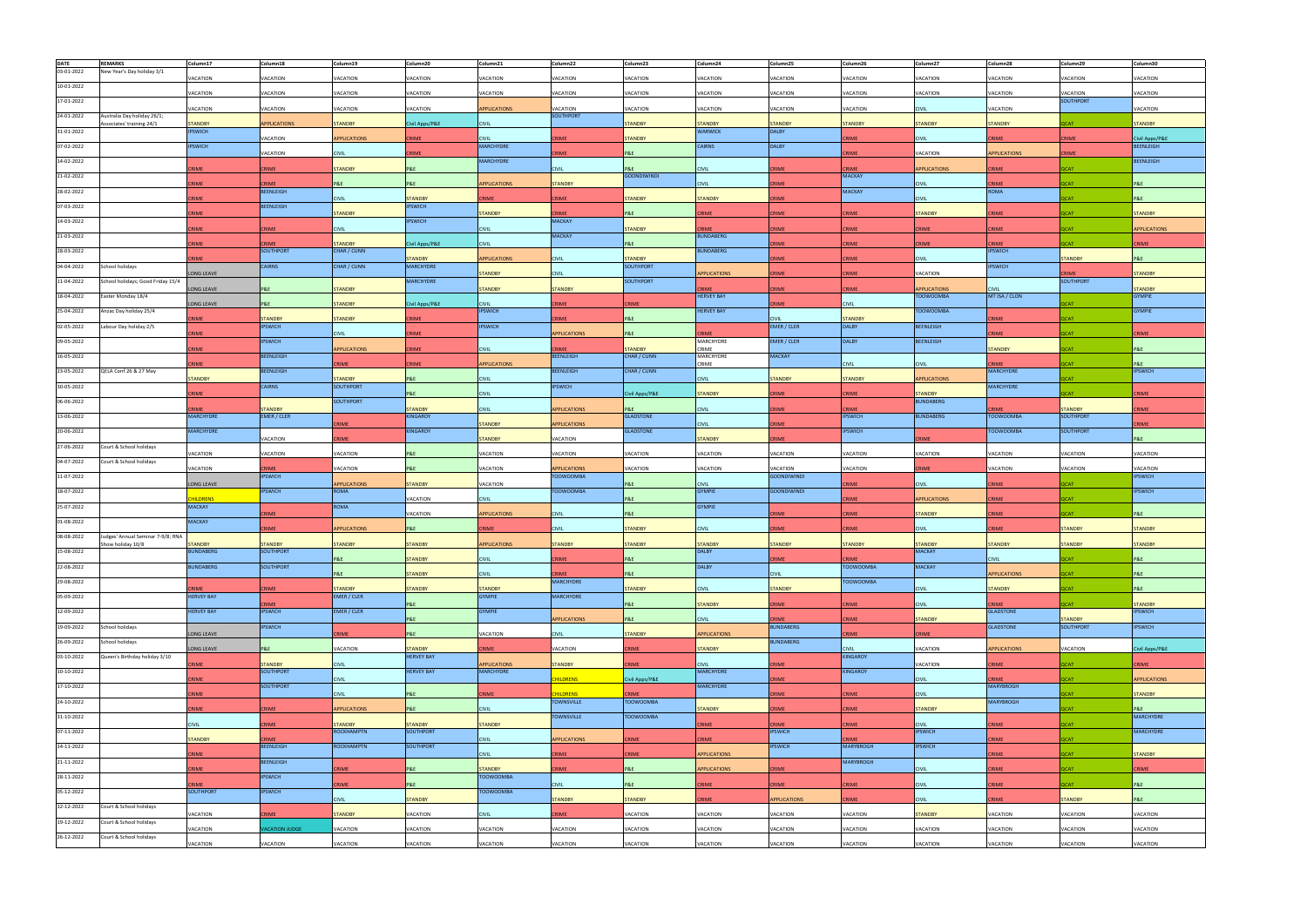| <b>DATE</b> | <b>REMARKS</b>                    | Column17                  | Column18                      | Column19                      | Column20                          | Column21                                | Column22                                | Column23           | Column24                         | Column25                       | Column26         | Column27            | Column28                      | Column29                        | Column30                          |
|-------------|-----------------------------------|---------------------------|-------------------------------|-------------------------------|-----------------------------------|-----------------------------------------|-----------------------------------------|--------------------|----------------------------------|--------------------------------|------------------|---------------------|-------------------------------|---------------------------------|-----------------------------------|
| 03-01-2022  | New Year's Day holiday 3/1        |                           |                               |                               |                                   |                                         |                                         |                    |                                  |                                |                  |                     |                               |                                 |                                   |
| 10-01-2022  |                                   | VACATION                  | VACATION                      | VACATION                      | VACATION                          | VACATION                                | VACATION                                | VACATION           | VACATION                         | VACATION                       | VACATION         | VACATION            | VACATION                      | VACATION                        | VACATION                          |
|             |                                   | VACATION                  | VACATION                      | <b>ACATION</b>                | VACATION                          | <b>VACATION</b>                         | VACATION                                | VACATION           | VACATION                         | VACATION                       | VACATION         | VACATION            | VACATION                      | VACATION                        | VACATION                          |
| 17-01-2022  |                                   |                           |                               |                               |                                   |                                         |                                         |                    |                                  |                                |                  |                     |                               | <b>SOUTHPORT</b>                |                                   |
| 24-01-2022  | Australia Day holiday 26/1;       | VACATION                  | VACATION                      | VACATION                      | VACATION                          | <b>APPLICATIONS</b>                     | VACATION<br><b>SOUTHPORT</b>            | VACATION           | VACATION                         | VACATION                       | VACATION         | <b>CIVIL</b>        | VACATION                      |                                 | VACATION                          |
|             | ssociates' training 24/1          | <b>STANDBY</b>            | <b>APPLICATIONS</b>           | <b>STANDBY</b>                | Civil Apps/P&E                    | <b>CIVIL</b>                            |                                         | <b>STANDBY</b>     | <b>STANDBY</b>                   | <b>STANDBY</b>                 | <b>TANDBY</b>    | <b>STANDBY</b>      | <b>STANDBY</b>                | <b>QCAT</b>                     | <b>STANDBY</b>                    |
| 31-01-2022  |                                   | <b>PSWICH</b>             |                               |                               |                                   |                                         |                                         |                    | <b>WARWICK</b>                   | <b>DALBY</b>                   |                  |                     |                               |                                 |                                   |
| 07-02-2022  |                                   | <b>IPSWICH</b>            | VACATION                      | APPLICATIONS                  | <b>CRIME</b>                      | <b>CIVIL</b><br><b>MARCHYDRE</b>        | CRIME                                   | <b>STANDBY</b>     | CAIRNS                           | <b>DALBY</b>                   | RIME             | <b>CIVIL</b>        | RIME                          | <b>CRIME</b>                    | ivil Apps/P&E<br><b>BEENLEIGH</b> |
|             |                                   |                           | VACATION                      | <b>CIVIL</b>                  | <b>CRIME</b>                      |                                         | <b>CRIME</b>                            | P&E                |                                  |                                | CRIME            | VACATION            | <b>APPLICATIONS</b>           | <b>CRIME</b>                    |                                   |
| 14-02-2022  |                                   | <b>RIME</b>               | <b>RIME</b>                   | <b>TANDBY</b>                 | P&E                               | <b>MARCHYDRE</b>                        | <b>CIVIL</b>                            | P&F                | <b>IVII</b>                      | <b>RIME</b>                    | <b>RIME</b>      | <b>APPLICATIONS</b> | RIME                          | <b>OCAT</b>                     | <b>BEENLEIGH</b>                  |
| 21-02-2022  |                                   |                           |                               |                               |                                   |                                         |                                         | <b>GOONDIWINDI</b> |                                  |                                | MACKAY           |                     |                               |                                 |                                   |
|             |                                   | CRIME                     | <b>RIME</b>                   | <b>BLE</b>                    | <b>P&amp;E</b>                    | <b>APPLICATIONS</b>                     | <b>STANDBY</b>                          |                    | CIVIL.                           | CRIME                          |                  | <b>CIVIL</b>        | <b>RIME</b>                   | <b>CAT</b>                      | P&E                               |
| 28-02-2022  |                                   | RIME                      | <b>BEENLEIGH</b>              | <b>IVIL</b>                   | <b>STANDBY</b>                    | <b>RIME</b>                             | CRIME                                   | <b>STANDBY</b>     | <b>TANDBY</b>                    | RIME                           | MACKAY           | <b>CIVIL</b>        | ROMA                          | CAT.                            | P&E                               |
| 07-03-2022  |                                   |                           | BEENLEIGH                     |                               | <b>IPSWICH</b>                    |                                         |                                         |                    |                                  |                                |                  |                     |                               |                                 |                                   |
|             |                                   | CRIME                     |                               | <b>STANDBY</b>                | <b>IPSWICH</b>                    | TANDBY                                  | <b>RIME</b><br><b>MACKAY</b>            | P&E                | <b>RIME</b>                      | CRIME                          | CRIME            | <b>STANDBY</b>      | <b>RIME</b>                   | <b>OCAT</b>                     | <b>STANDBY</b>                    |
| 14-03-2022  |                                   | RIME                      | <b>CRIME</b>                  | CIVIL                         |                                   | <b>CIVIL</b>                            |                                         | <b>STANDBY</b>     | <b>RIME</b>                      | CRIME                          | CRIME            | CRIME               | RIME                          | <b>QCAT</b>                     | <b>APPLICATIONS</b>               |
| 21-03-2022  |                                   |                           |                               |                               |                                   |                                         | <b>MACKAY</b>                           |                    | <b>BUNDABERG</b>                 |                                |                  |                     |                               |                                 |                                   |
| 28-03-2022  |                                   | RIME                      | RIME<br><b>SOUTHPORT</b>      | <b>STANDBY</b><br>CHAR / CUNN | Civil Apps/P&E                    | <b>CIVIL</b>                            |                                         | <b>P&amp;E</b>     | <b>BUNDABERG</b>                 | RIME                           | RIME             | CRIME               | <b>RIMF</b><br><b>IPSWICH</b> | <b>CAT</b>                      | <b>CRIME</b>                      |
|             |                                   | <b>CRIME</b>              |                               |                               | <b>STANDBY</b>                    | APPLICATIONS                            | <b>CIVIL</b>                            | <b>STANDBY</b>     |                                  | <b>CRIME</b>                   | CRIME            | <b>CIVIL</b>        |                               | <b>STANDBY</b>                  | P&E                               |
| 04-04-2022  | School holidays                   |                           | CAIRNS                        | CHAR / CUNN                   | <b>MARCHYDRE</b>                  |                                         |                                         | <b>SOUTHPORT</b>   |                                  |                                |                  |                     | <b>IPSWICH</b>                |                                 |                                   |
| 11-04-2022  | School holidays; Good Friday 15/4 | ONG LEAVE                 |                               |                               | <b>MARCHYDRE</b>                  | <b>TANDBY</b>                           | <b>CIVIL</b>                            | <b>SOUTHPORT</b>   | <b>PPLICATIONS</b>               | RIME                           | RIME             | VACATION            |                               | <b>RIME</b><br><b>SOUTHPORT</b> | <b>STANDBY</b>                    |
|             |                                   | ONG LEAVE                 | P&E                           | <b>STANDBY</b>                |                                   | <b>TANDBY</b>                           | <b>STANDBY</b>                          |                    | RIME                             | CRIME                          | RIME             | APPLICATIONS        |                               |                                 | <b>STANDBY</b>                    |
| 18-04-2022  | Easter Monday 18/4                | ONG LEAVE                 | P&E                           | <b>STANDBY</b>                |                                   | <b>CIVIL</b>                            | CRIME                                   | RIME               | <b>HERVEY BAY</b>                | <b>CRIME</b>                   |                  | <b>TOOWOOMBA</b>    | MT ISA / CLON                 | CAT:                            | <b>GYMPIE</b>                     |
| 25-04-2022  | Anzac Day holiday 25/4            |                           |                               |                               | Civil Apps/P&E                    | <b>IPSWICH</b>                          |                                         |                    | <b>HERVEY BAY</b>                |                                | <b>CIVIL</b>     | <b>TOOWOOMBA</b>    |                               |                                 | <b>GYMPIE</b>                     |
|             |                                   | <b>RIME</b>               | <b>STANDBY</b>                | <b>STANDBY</b>                | <b>CRIME</b>                      |                                         | CRIME                                   | <b>P&amp;E</b>     |                                  | <b>CIVIL</b>                   | <b>STANDBY</b>   |                     | <b>RIME</b>                   | <b>OCAT</b>                     |                                   |
| 02-05-2022  | abour Day holiday 2/5             | <b>RIME</b>               | <b>IPSWICH</b>                | <b>IVIL</b>                   | <b>CRIME</b>                      | <b>IPSWICH</b>                          | <b>APPLICATIONS</b>                     | P&E                | RIME                             | <b>EMER / CLER</b>             | <b>DALBY</b>     | <b>BEENLEIGH</b>    | <b>RIME</b>                   | <b>TAN</b>                      | CRIME                             |
| 09-05-2022  |                                   |                           | <b>IPSWICH</b>                |                               |                                   |                                         |                                         |                    | MARCHYDRE                        | <b>EMER / CLER</b>             | <b>DALBY</b>     | <b>BEENLEIGH</b>    |                               |                                 |                                   |
|             |                                   | <b>RIME</b>               |                               | APPLICATIONS                  | <b>CRIME</b>                      | IVIL.                                   | <b>RIME</b>                             | <b>STANDBY</b>     | CRIME                            |                                |                  |                     | TANDBY                        | CAT                             | P&E                               |
| 16-05-2022  |                                   | <b>RIME</b>               | BEENLEIGH                     | <b>RIMF</b>                   | <b>CRIME</b>                      | <b>APPLICATIONS</b>                     | <b>BEENLEIGH</b>                        | CHAR / CUNN        | MARCHYDRE<br><b>RIMF</b>         | <b>MACKAY</b>                  | CIVIL            | <b>CIVIL</b>        | <b>RIME</b>                   | CAT.                            | P&E                               |
| 23-05-2022  | QELA Conf 26 & 27 May             |                           | <b>BEENLEIGH</b>              |                               |                                   |                                         | <b>BEENLEIGH</b>                        | CHAR / CUNN        |                                  |                                |                  |                     | <b>MARCHYDRE</b>              |                                 | <b>IPSWICH</b>                    |
|             |                                   | <b>STANDBY</b>            |                               | <b>STANDBY</b>                | P&E                               | CIVIL                                   |                                         |                    | CIVIL                            | <b>STANDBY</b>                 | <b>STANDBY</b>   | APPLICATIONS        |                               | <b>OCAT</b>                     |                                   |
| 30-05-2022  |                                   | RIME                      | <b>CAIRNS</b>                 | <b>SOUTHPORT</b>              | <b>P&amp;E</b>                    | IVIL.                                   | <b>IPSWICH</b>                          | Civil Apps/P&E     | <b>STANDBY</b>                   | RIME                           | RIME             | <b>STANDBY</b>      | <b>MARCHYDRE</b>              | CAT.                            | <b>CRIME</b>                      |
| 06-06-2022  |                                   |                           |                               | SOUTHPORT                     |                                   |                                         |                                         |                    |                                  |                                |                  | <b>BUNDABERG</b>    |                               |                                 |                                   |
|             |                                   | <b>RIME</b>               | <b>STANDBY</b>                |                               | <b>STANDBY</b><br><b>KINGAROY</b> | <b>CIVIL</b>                            | <b>APPLICATIONS</b>                     | P&E                | <b>IVIL</b>                      | <b>RIME</b>                    | RIME             |                     |                               | <b>STANDBY</b>                  | CRIME                             |
| 13-06-2022  |                                   | <b>MARCHYDRE</b>          | <b>EMER / CLER</b>            | <b>RIME</b>                   |                                   | TANDBY                                  | <b>APPLICATIONS</b>                     | <b>GLADSTONE</b>   | <b>IVI</b>                       | RIME                           | <b>IPSWICH</b>   | <b>BUNDABERG</b>    | <b>TOOWOOMBA</b>              | <b>SOUTHPORT</b>                | RIME                              |
| 20-06-2022  |                                   | <b>MARCHYDRE</b>          |                               |                               | <b>KINGAROY</b>                   |                                         |                                         | <b>GLADSTONE</b>   |                                  |                                | <b>IPSWICH</b>   |                     | <b>TOOWOOMBA</b>              | <b>SOUTHPORT</b>                |                                   |
| 27-06-2022  | ourt & School holidays            |                           | VACATION                      | RIME                          |                                   | <b>STANDBY</b>                          | VACATION                                |                    | <b>STANDBY</b>                   | <b>RIME</b>                    |                  | <b>RIME</b>         |                               |                                 | P&E                               |
|             |                                   | <b>ACATION</b>            | VACATION                      | <b>ACATION</b>                | P&E                               | <b><i>VACATION</i></b>                  | VACATION                                | <b>ACATION</b>     | <b>ACATION</b>                   | VACATION                       | <b>ACATION</b>   | VACATION            | <b>ACATION</b>                | <b>ACATION</b>                  | VACATION                          |
| 04-07-2022  | Court & School holidays           |                           |                               |                               |                                   |                                         |                                         |                    |                                  |                                |                  |                     |                               |                                 |                                   |
| 11-07-2022  |                                   | <b>ACATION</b>            | <b>RIME</b><br><b>IPSWICH</b> | <b>ACATION</b>                | P&E                               | <b>ACATION</b>                          | <b>APPLICATIONS</b><br><b>TOOWOOMBA</b> | VACATION           | <b>VACATION</b>                  | VACATION<br><b>GOONDIWINDI</b> | VACATION         | <b>RIME</b>         | VACATION                      | VACATION                        | VACATION<br><b>IPSWICH</b>        |
|             |                                   | ONG LEAVE                 |                               | <b>PPLICATIONS</b>            | <b>STANDBY</b>                    | <b><i>VACATION</i></b>                  |                                         | P&E                | <b>IVII</b>                      |                                | RIME             | <b>CIVII</b>        | <b>RIME</b>                   | <b>TANO</b>                     |                                   |
| 18-07-2022  |                                   |                           | <b>IPSWICH</b>                | <b>ROMA</b>                   |                                   |                                         | <b>TOOWOOMBA</b>                        |                    | <b>GYMPIE</b>                    | <b>GOONDIWINDI</b>             |                  |                     |                               |                                 | <b>IPSWICH</b>                    |
| 25-07-2022  |                                   | <b>HILDRENS</b><br>MACKAY |                               | <b>ROMA</b>                   | VACATION                          | CIVIL                                   |                                         | <b>P&amp;E</b>     | <b>GYMPIE</b>                    |                                | RIME             | <b>APPLICATIONS</b> | CRIME                         | <b>QCAT</b>                     |                                   |
|             |                                   |                           | <b>RIME</b>                   |                               | VACATION                          | APPLICATIONS                            | <b>CIVIL</b>                            | <b>P&amp;E</b>     |                                  | <b>RIME</b>                    | RIME             | <b>STANDBY</b>      | <b>RIME</b>                   | <b>CAT</b>                      | P&E                               |
| 01-08-2022  |                                   | MACKAY                    |                               |                               |                                   | <b>RIMF</b>                             |                                         |                    | <b>TIVIL</b>                     | <b>RIME</b>                    | CRIME            |                     | <b>RIME</b>                   |                                 |                                   |
| 08-08-2022  | ludges' Annual Seminar 7-9/8; RNA |                           | <b>CRIME</b>                  | <b>PPLICATIONS</b>            | P&E                               |                                         | <b>CIVIL</b>                            | <b>STANDBY</b>     |                                  |                                |                  | <b>CIVIL</b>        |                               | <b>STANDBY</b>                  | <b>STANDBY</b>                    |
|             | how holiday 10/8                  | <b>STANDBY</b>            | <b>STANDBY</b>                | <b>TANDBY</b>                 | <b>STANDBY</b>                    | <b>APPLICATIONS</b>                     | <b>STANDBY</b>                          | <b>STANDBY</b>     | <b>STANDBY</b>                   | <b>STANDBY</b>                 | <b>TANDBY</b>    | <b>STANDBY</b>      | TANDBY                        | <b>TANDBY</b>                   | <b>STANDBY</b>                    |
| 15-08-2022  |                                   | BUNDABERG                 | SOUTHPORT                     | P&E                           | <b>STANDBY</b>                    | <b>CIVIL</b>                            | <b>CRIME</b>                            | P&E                | DALBY                            | <b>CRIME</b>                   | CRIME            | MACKAY              | <b>CIVIL</b>                  | <b>OCAT</b>                     | P&E                               |
| 22-08-2022  |                                   | <b>BUNDABERG</b>          | <b>SOUTHPORT</b>              |                               |                                   |                                         |                                         |                    | <b>DALBY</b>                     |                                | <b>TOOWOOMBA</b> | <b>MACKAY</b>       |                               |                                 |                                   |
|             |                                   |                           |                               | <b>P&amp;E</b>                | <b>STANDBY</b>                    | <b>CIVIL</b>                            | RIME                                    | P&E                |                                  | <b>CIVIL</b>                   |                  |                     | <b>APPLICATIONS</b>           | <b>QCAT</b>                     | P&E                               |
| 29-08-2022  |                                   | <b>CRIME</b>              | <b>CRIME</b>                  | <b>STANDBY</b>                | <b>STANDBY</b>                    | <b>STANDBY</b>                          | <b>MARCHYDRE</b>                        | <b>STANDBY</b>     | <b>CIVIL</b>                     | <b>STANDBY</b>                 | <b>TOOWOOMBA</b> | <b>CIVIL</b>        | <b>STANDBY</b>                | <b>OCAT</b>                     | P&E                               |
| 05-09-2022  |                                   | <b>IERVEY BAY</b>         |                               | <b>EMER / CLER</b>            |                                   | <b>GYMPIE</b>                           | <b>MARCHYDRE</b>                        |                    |                                  |                                |                  |                     |                               |                                 |                                   |
|             |                                   |                           | <b>RIME</b>                   |                               | <b>P&amp;E</b>                    |                                         |                                         | <b>P&amp;E</b>     | <b>STANDBY</b>                   | RIME                           | CRIME            | <b>CIVIL</b>        | <b>RIME</b>                   | <b>QCAT</b>                     | <b>STANDBY</b>                    |
| 12-09-2022  |                                   | <b>HERVEY BAY</b>         | <b>IPSWICH</b>                | EMER / CLER                   | <b>P&amp;E</b>                    | <b>GYMPIE</b>                           | <b>APPLICATIONS</b>                     | <b>P&amp;E</b>     | <b>CIVIL</b>                     | CRIME                          | RIME             | <b>STANDBY</b>      | <b>GLADSTONE</b>              | <b>STANDBY</b>                  | <b>IPSWICH</b>                    |
| 19-09-2022  | School holidays                   |                           | <b>IPSWICH</b>                |                               |                                   |                                         |                                         |                    |                                  | <b>BUNDABERG</b>               |                  |                     | <b>GLADSTONE</b>              | <b>SOUTHPORT</b>                | <b>IPSWICH</b>                    |
| 26-09-2022  | School holidays                   | ONG LEAVE                 |                               | CRIME                         | P&E                               | VACATION                                | <b>CIVIL</b>                            | <b>STANDBY</b>     | <b>APPLICATIONS</b>              | <b>BUNDABERG</b>               | RIME             | CRIME               |                               |                                 |                                   |
|             |                                   | ONG LEAVE                 | P&E                           | <b>ACATION</b>                | <b>STANDBY</b>                    | RIME                                    | VACATION                                | RIME               | <b>STANDBY</b>                   |                                | CIVIL            | VACATION            | <b>APPLICATIONS</b>           | VACATION                        | Civil Apps/P&E                    |
| 03-10-2022  | Queen's Birthday holiday 3/10     |                           |                               |                               | <b>HERVEY BAY</b>                 |                                         |                                         |                    |                                  |                                | <b>KINGAROY</b>  |                     |                               |                                 |                                   |
| 10-10-2022  |                                   | CRIME                     | <b>STANDBY</b><br>SOUTHPORT   | <b>CIVIL</b>                  | <b>HERVEY BAY</b>                 | <b>APPLICATIONS</b><br><b>MARCHYDRE</b> | <b>STANDBY</b>                          | RIME               | <b>CIVIL</b><br><b>MARCHYDRE</b> | <b>CRIME</b>                   | KINGAROY         | VACATION            | RIME                          | <b>DCAT</b>                     | CRIME                             |
|             |                                   | CRIME                     |                               | <b>CIVIL</b>                  |                                   |                                         | <b>CHILDRENS</b>                        | Civil Apps/P&E     |                                  | <b>CRIME</b>                   |                  | <b>CIVIL</b>        | RIME                          | <b>OCAT</b>                     | <b>APPLICATIONS</b>               |
| 17-10-2022  |                                   | CRIME                     | SOUTHPORT                     | <b>CIVIL</b>                  | P&E                               | RIME                                    | <b>CHILDRENS</b>                        | CRIME              | <b>MARCHYDRE</b>                 | <b>CRIME</b>                   | CRIME            |                     | <b>MARYBROGH</b>              | <b>DCAT</b>                     | <b>STANDBY</b>                    |
| 24-10-2022  |                                   |                           |                               |                               |                                   |                                         | <b>TOWNSVILLE</b>                       | <b>TOOWOOMBA</b>   |                                  |                                |                  | <b>CIVIL</b>        | <b>MARYBROGH</b>              |                                 |                                   |
|             |                                   | RIME                      | <b>CRIME</b>                  | APPLICATIONS                  | P&E                               | <b>CIVIL</b>                            |                                         |                    | <b>STANDBY</b>                   | RIME                           | CRIME            | <b>STANDBY</b>      |                               | <b>QCAT</b>                     | P&E                               |
| 31-10-2022  |                                   | <b>CIVIL</b>              | RIME                          | <b>STANDBY</b>                | <b>STANDBY</b>                    | <b>STANDBY</b>                          | <b>TOWNSVILLE</b>                       | <b>TOOWOOMBA</b>   | CRIME                            | CRIME                          | CRIME            | <b>CIVIL</b>        | CRIME                         | <b>QCAT</b>                     | <b>MARCHYDRE</b>                  |
| 07-11-2022  |                                   |                           |                               | <b>ROCKHAMPTN</b>             | <b>SOUTHPORT</b>                  |                                         |                                         |                    |                                  | <b>IPSWICH</b>                 |                  | <b>IPSWICH</b>      |                               |                                 | <b>MARCHYDRE</b>                  |
|             |                                   | <b>STANDBY</b>            | <b>RIME</b>                   |                               |                                   | <b>CIVIL</b>                            | <b>APPLICATIONS</b>                     | RIME               | CRIME                            |                                | <b>RIME</b>      |                     | CRIME                         | <b>QCAT</b>                     |                                   |
| 14-11-2022  |                                   | <b>RIME</b>               | <b>BEENLEIGH</b>              | <b>ROCKHAMPTN</b>             | SOUTHPORT                         | <b>CIVIL</b>                            | CRIME                                   | CRIME              | <b>APPLICATIONS</b>              | <b>IPSWICH</b>                 | <b>MARYBROGH</b> | <b>IPSWICH</b>      | RIME                          | <b>OCAT</b>                     | <b>STANDBY</b>                    |
| 21-11-2022  |                                   |                           | BEENLEIGH                     |                               |                                   |                                         |                                         |                    |                                  |                                | <b>MARYBROGH</b> |                     |                               |                                 |                                   |
|             |                                   | CRIME                     |                               | RIME                          | P&E                               | TANDBY                                  | RIME                                    | P&E                | <b>APPLICATIONS</b>              | CRIME                          |                  | <b>CIVIL</b>        | CRIME                         | <b>QCAT</b>                     | CRIME                             |
| 28-11-2022  |                                   | <b>RIME</b>               | <b>IPSWICH</b>                | RIME                          | <b>P&amp;E</b>                    | <b>TOOWOOMBA</b>                        | <b>CIVIL</b>                            | <b>P&amp;E</b>     | <b>RIME</b>                      | <b>CRIME</b>                   | CRIME            | <b>CIVIL</b>        | CRIME                         | <b>QCAT</b>                     | <b>P&amp;E</b>                    |
| 05-12-2022  |                                   | SOUTHPORT                 | <b>IPSWICH</b>                |                               |                                   | <b>TOOWOOMBA</b>                        |                                         |                    |                                  |                                |                  |                     |                               |                                 |                                   |
|             |                                   |                           |                               | <b>CIVIL</b>                  | <b>STANDBY</b>                    |                                         | <b>STANDBY</b>                          | <b>STANDBY</b>     | CRIME                            | <b>APPLICATIONS</b>            | <b>RIME</b>      | <b>CIVIL</b>        | CRIME                         | <b>STANDBY</b>                  | <b>P&amp;E</b>                    |
| 12-12-2022  | Court & School holidays           | <b>ACATION</b>            | <b>RIME</b>                   | <b>STANDBY</b>                | VACATION                          | <b>CIVIL</b>                            | <b>CRIME</b>                            | VACATION           | VACATION                         | VACATION                       | VACATION         | <b>STANDBY</b>      | VACATION                      | VACATION                        | VACATION                          |
| 19-12-2022  | Court & School holidays           |                           |                               |                               |                                   |                                         |                                         |                    |                                  |                                |                  |                     |                               |                                 |                                   |
| 26-12-2022  | Court & School holidays           | VACATION                  | <b>ACATION JUDGE</b>          | <b>ACATION</b>                | VACATION                          | VACATION                                | VACATION                                | VACATION           | <b>VACATION</b>                  | VACATION                       | VACATION         | VACATION            | VACATION                      | VACATION                        | VACATION                          |
|             |                                   | VACATION                  | VACATION                      | VACATION                      | VACATION                          | VACATION                                | VACATION                                | VACATION           | VACATION                         | VACATION                       | VACATION         | VACATION            | VACATION                      | VACATION                        | VACATION                          |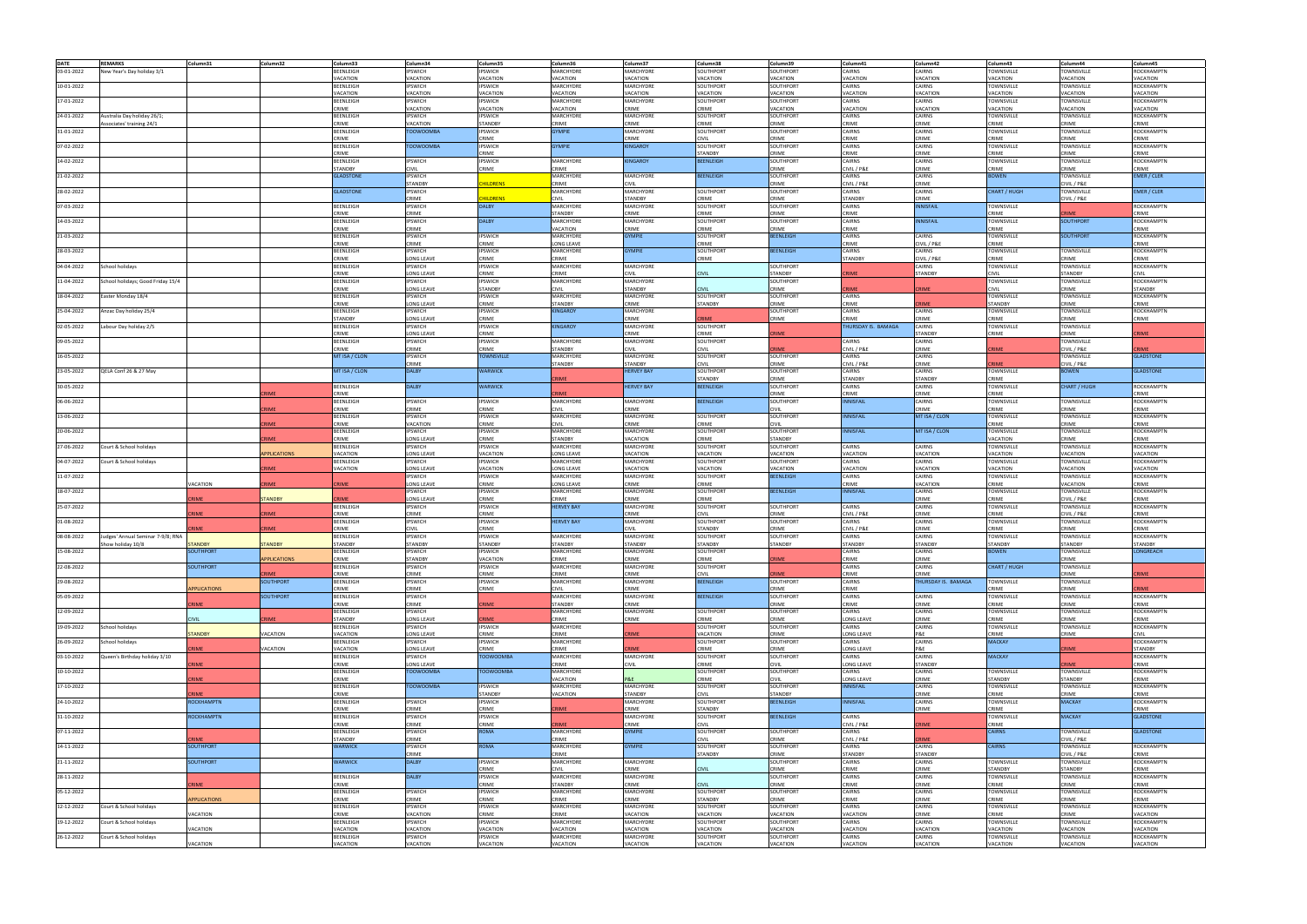| <b>DATE</b> | <b>REMARKS</b>                    | Column31            | Column32           | Column33                    | Column34                     | Column35                         | Column36                       | Column37                    | Column38                           | Column39                    | Column41                    | Column42                 | Column43                     | Column44                             | Column45                     |
|-------------|-----------------------------------|---------------------|--------------------|-----------------------------|------------------------------|----------------------------------|--------------------------------|-----------------------------|------------------------------------|-----------------------------|-----------------------------|--------------------------|------------------------------|--------------------------------------|------------------------------|
| 03-01-2022  | New Year's Day holiday 3/1        |                     |                    | <b>BEENLEIGH</b>            | <b>IPSWICH</b>               | <b>IPSWICH</b>                   | MARCHYDRE                      | MARCHYDRE                   | SOUTHPORT                          | SOUTHPORT                   | CAIRNS                      | CAIRNS                   | TOWNSVILLE                   | <b>TOWNSVILLE</b>                    | ROCKHAMPTN                   |
|             |                                   |                     |                    | VACATION                    | VACATION                     | <b>ACATION</b>                   | VACATION                       | <b>ACATION</b>              | VACATION                           | VACATION                    | <b>ACATION</b>              | VACATION                 | VACATION                     | <b>/ACATION</b>                      | <b>ACATION</b>               |
| 10-01-2022  |                                   |                     |                    | <b>BEENLEIGH</b>            | <b>IPSWICH</b>               | <b>IPSWICH</b>                   | MARCHYDRE                      | MARCHYDRE                   | SOUTHPORT                          | SOUTHPORT                   | CAIRNS                      | CAIRNS                   | TOWNSVILLE                   | TOWNSVILLE                           | ROCKHAMPTN                   |
|             |                                   |                     |                    | <b>ACATION</b>              | VACATION                     | <b>ACATION</b>                   | VACATION                       | <b>ACATION</b>              | <b>/ACATION</b>                    | VACATION                    | <b>ACATION</b>              | VACATION                 | <b>ACATION</b>               | <b>ACATION</b>                       | <b>ACATION</b>               |
| 17-01-2022  |                                   |                     |                    | BEENLEIGH                   | <b>IPSWICH</b>               | <b>IPSWICH</b>                   | MARCHYDRE                      | MARCHYDRE                   | SOUTHPORT                          | SOUTHPORT                   | CAIRNS                      | CAIRNS                   | TOWNSVILLE                   | TOWNSVILLE                           | ROCKHAMPTN                   |
|             |                                   |                     |                    | CRIME                       | VACATION                     | <b>ACATION</b>                   | VACATION                       | CRIME                       | CRIME                              | VACATION                    | <b>ACATION</b>              | VACATION                 | <b>ACATION</b>               | <b>ACATION</b>                       | <b>ACATION</b>               |
| 24-01-2022  | Australia Day holiday 26/1;       |                     |                    | <b>BEENLEIGH</b>            | <b>IPSWICH</b>               | <b>IPSWICH</b>                   | <b>MARCHYDRE</b>               | MARCHYDRE                   | SOUTHPORT                          | SOUTHPORT                   | CAIRNS                      | CAIRNS                   | TOWNSVILLE                   | TOWNSVILLE                           | ROCKHAMPTN                   |
|             | ssociates' training 24/1          |                     |                    | CRIME                       | VACATION                     | <b>STANDBY</b>                   | CRIME<br><b>GYMPIE</b>         | CRIME                       | CRIME                              | RIME                        | CRIME<br>CAIRNS             | CRIME                    | CRIME                        | RIME                                 | RIME                         |
| 31-01-2022  |                                   |                     |                    | <b>BEENLEIGH</b><br>CRIME   | <b>TOOWOOMBA</b>             | PSWICH<br><b>RIME</b>            |                                | MARCHYDRE<br>CRIME          | SOUTHPORT<br><b>CIVII</b>          | SOUTHPORT<br>RIME           | CRIME                       | CAIRNS<br>CRIME          | TOWNSVILLE<br>CRIME          | TOWNSVILLE<br><b>RIME</b>            | ROCKHAMPTN<br>RIME           |
| 07-02-2022  |                                   |                     |                    | BEENLEIGH                   | <b>TOOWOOMBA</b>             | PSWICH                           | <b>GYMPIE</b>                  | <b>KINGAROY</b>             | SOUTHPORT                          | SOUTHPORT                   | CAIRNS                      | CAIRNS                   | TOWNSVILLE                   | TOWNSVILLE                           | ROCKHAMPTN                   |
|             |                                   |                     |                    | <b>RIME</b>                 |                              | <b>RIME</b>                      |                                |                             | <b>STANDBY</b>                     | RIMF                        | <b>RIME</b>                 | CRIME                    | <b>RIME</b>                  | <b>RIME</b>                          | <b>RIME</b>                  |
| 14-02-2022  |                                   |                     |                    | <b>BEENLEIGH</b>            | <b>IPSWICH</b>               | PSWICH                           | MARCHYDRE                      | <b>KINGAROY</b>             | <b>BEENLEIGH</b>                   | SOUTHPORT                   | CAIRNS                      | CAIRNS                   | TOWNSVILLE                   | <b>TOWNSVILLE</b>                    | ROCKHAMPTN                   |
|             |                                   |                     |                    | TANDBY                      | CIVII                        | <b>RIME</b>                      | CRIME                          |                             |                                    | RIME                        | CIVIL / P&E                 | CRIME                    | <b>RIME</b>                  | <b>RIMF</b>                          | <b>RIME</b>                  |
| 21-02-2022  |                                   |                     |                    | <b>GLADSTONE</b>            | <b>IPSWICH</b>               |                                  | MARCHYDRE                      | MARCHYDRE                   | <b>BEENLEIGH</b>                   | SOUTHPORT                   | CAIRNS                      | CAIRNS                   | <b>BOWEN</b>                 | <b>TOWNSVILLE</b>                    | <b>EMER / CLER</b>           |
|             |                                   |                     |                    |                             | <b>STANDBY</b>               | <b>HILDRENS</b>                  | CRIME                          | CIVIL                       |                                    | RIME                        | CIVIL / P&E                 | CRIME                    |                              | CIVIL / P&E                          |                              |
| 28-02-2022  |                                   |                     |                    | <b>GLADSTONE</b>            | <b>IPSWICH</b><br>CRIME      | <b>III DRENS</b>                 | MARCHYDRE<br><b>CIVIL</b>      | MARCHYDRE<br><b>TANDBY</b>  | SOUTHPORT<br>CRIME                 | SOUTHPORT<br>RIME           | CAIRNS<br><b>STANDBY</b>    | CAIRNS<br>CRIME          | CHART / HUGH                 | <b>TOWNSVILLE</b><br>CIVIL / P&E     | EMER / CLER                  |
| 07-03-2022  |                                   |                     |                    | <b>BEENLEIGH</b>            | <b>IPSWICH</b>               | <b>DAI BY</b>                    | MARCHYDRE                      | MARCHYDRE                   | SOUTHPORT                          | SOUTHPORT                   | CAIRNS                      | <b>INNISFAIL</b>         | <b><i>FOWNSVILLE</i></b>     |                                      | ROCKHAMPTN                   |
|             |                                   |                     |                    | CRIME                       | CRIME                        |                                  | <b>STANDBY</b>                 | RIME                        | CRIME                              | RIME                        | CRIME                       |                          | RIMF                         | <b>IMF</b>                           | RIME                         |
| 14-03-2022  |                                   |                     |                    | <b>BEENLEIGH</b>            | <b>IPSWICH</b>               | <b>DALBY</b>                     | MARCHYDRE                      | MARCHYDRE                   | SOUTHPORT                          | SOUTHPORT                   | CAIRNS                      | <b>INNISFAIL</b>         | <b><i>FOWNSVILLE</i></b>     | SOUTHPORT                            | ROCKHAMPTN                   |
|             |                                   |                     |                    | CRIME                       | CRIME                        |                                  | VACATION                       | CRIME                       | CRIME                              | RIME                        | CRIME                       |                          | CRIME                        |                                      | <b>RIMF</b>                  |
| 21-03-2022  |                                   |                     |                    | BEENLEIGH                   | <b>IPSWICH</b>               | <b>IPSWICH</b>                   | MARCHYDRE                      | <b>GYMPIE</b>               | SOUTHPORT                          | BEENLEIGH                   | CAIRNS                      | CAIRNS                   | TOWNSVILLE                   | <b>SOUTHPORT</b>                     | ROCKHAMPTN                   |
|             |                                   |                     |                    | CRIME                       | CRIME                        | CRIME                            | <b>LONG LEAVE</b>              |                             | CRIME                              |                             | CRIME                       | CIVIL / P&E              | CRIME                        |                                      | RIME                         |
| 28-03-2022  |                                   |                     |                    | BEENLEIGH<br>CRIME          | <b>IPSWICH</b><br>LONG LEAVE | <b>IPSWICH</b><br>CRIME          | MARCHYDRE<br>CRIME             | <b>GYMPIE</b>               | SOUTHPORT<br>CRIME                 | <b>BEENLEIGH</b>            | CAIRNS<br><b>STANDBY</b>    | CAIRNS<br>CIVIL / P&E    | TOWNSVILLE<br>CRIME          | TOWNSVILLE<br><b>RIME</b>            | ROCKHAMPTN<br><b>RIME</b>    |
| 04-04-2022  | chool holidays                    |                     |                    | BEENLEIGH                   | <b>IPSWICH</b>               | <b>IPSWICH</b>                   | MARCHYDRE                      | MARCHYDRE                   |                                    | SOUTHPORT                   |                             | CAIRNS                   | TOWNSVILLE                   | TOWNSVILLE                           | ROCKHAMPTN                   |
|             |                                   |                     |                    | <b>RIME</b>                 | <b>LONG LEAVE</b>            | CRIME                            | CRIME                          | <b>CIVII</b>                | <b>CIVII</b>                       | <b>STANDBY</b>              | RIME                        | <b>STANDBY</b>           | CIVII                        | <b>STANDBY</b>                       | 11/11                        |
| 11-04-2022  | School holidays; Good Friday 15/4 |                     |                    | BEENLEIGH                   | <b>IPSWICH</b>               | <b>IPSWICH</b>                   | MARCHYDRE                      | MARCHYDRE                   |                                    | SOUTHPORT                   |                             |                          | TOWNSVILLE                   | <b>TOWNSVILLE</b>                    | ROCKHAMPTN                   |
|             |                                   |                     |                    | <b>RIME</b>                 | LONG LEAVE                   | <b>STANDBY</b>                   | <b>CIVII</b>                   | TANDBY                      | <b>TIVII</b>                       | RIME                        | <b>RIME</b>                 | RIME                     | ∩VII.                        | <b>RIME</b>                          | TANDBY                       |
| 18-04-2022  | Easter Monday 18/4                |                     |                    | BEENLEIGH                   | <b>IPSWICH</b>               | PSWICH                           | MARCHYDRE                      | MARCHYDRE                   | SOUTHPORT                          | SOUTHPORT                   | CAIRNS                      |                          | TOWNSVILLE                   | <b>TOWNSVILLE</b>                    | ROCKHAMPTN                   |
|             |                                   |                     |                    | <b>RIME</b>                 | LONG LEAVE                   | CRIME                            | <b>STANDBY</b>                 | CRIME                       | <b>STANDBY</b>                     | CRIME                       | CRIME                       | <b>RIME</b>              | <b>STANDBY</b>               | CRIME                                | <b>RIMF</b>                  |
| 25-04-2022  | Anzac Day holiday 25/4            |                     |                    | BEENLEIGH                   | <b>IPSWICH</b>               | <b>IPSWICH</b>                   | <b>KINGAROY</b>                | MARCHYDRE                   |                                    | SOUTHPORT                   | CAIRNS                      | CAIRNS                   | TOWNSVILLE                   | TOWNSVILLE                           | ROCKHAMPTN                   |
|             |                                   |                     |                    | TANDBY<br><b>BEENLEIGH</b>  | LONG LEAVE<br><b>IPSWICH</b> | CRIME<br><b>IPSWICH</b>          | <b>KINGAROY</b>                | RIME<br>MARCHYDRE           | <b>SINAE</b><br>SOUTHPORT          | RIME                        | RIME<br>THURSDAY IS. BAMAGA | CRIME<br>CAIRNS          | RIMF<br><b>TOWNSVILLE</b>    | <b>RIMF</b><br>TOWNSVILLE            | :RIME                        |
| 02-05-2022  | Labour Day holiday 2/5            |                     |                    | <b>RIME</b>                 | LONG LEAVE                   | CRIME                            |                                | CRIME                       | CRIME                              | <b>IMF</b>                  |                             | <b>STANDBY</b>           | CRIME                        | CRIME                                |                              |
| 09-05-2022  |                                   |                     |                    | BEENLEIGH                   | <b>IPSWICH</b>               | <b>IPSWICH</b>                   | MARCHYDRE                      | MARCHYDRE                   | SOUTHPORT                          |                             | CAIRNS                      | CAIRNS                   |                              | <b>TOWNSVILLE</b>                    |                              |
|             |                                   |                     |                    | CRIME                       | CRIME                        | CRIME                            | <b>STANDBY</b>                 | `IVII                       | <b>CIVII</b>                       | <b>IMF</b>                  | CIVIL / P&E                 | CRIME                    | <b>RIME</b>                  | CIVIL / P&E                          |                              |
| 16-05-2022  |                                   |                     |                    | MT ISA / CLON               | <b>IPSWICH</b>               | <b>TOWNSVILLE</b>                | MARCHYDRE                      | MARCHYDRE                   | SOUTHPORT                          | SOUTHPORT                   | CAIRNS                      | CAIRNS                   |                              | TOWNSVILLE                           | <b>GLADSTONE</b>             |
|             |                                   |                     |                    |                             | CRIME                        |                                  | <b>STANDBY</b>                 | TANDBY                      |                                    | RIME                        | CIVIL / P&E                 | CRIME                    | RIME                         | IVII / P&F                           |                              |
| 23-05-2022  | QELA Conf 26 & 27 May             |                     |                    | <b>MT ISA / CLON</b>        | <b>DALBY</b>                 | <b>WARWICK</b>                   |                                | <b>HERVEY BAY</b>           | SOUTHPORT                          | SOUTHPORT                   | CAIRNS                      | CAIRNS                   | TOWNSVILLE                   | <b>BOWEN</b>                         | <b>GLADSTONE</b>             |
|             |                                   |                     |                    |                             | <b>DALBY</b>                 | <b>WARWICK</b>                   | <b>CRIME</b>                   |                             | <b>STANDBY</b><br><b>BEENLEIGH</b> | CRIME                       | STANDBY                     | <b>STANDBY</b>           | CRIME                        |                                      |                              |
| 30-05-2022  |                                   |                     | <b>RIME</b>        | BEENLEIGH<br><b>RIME</b>    |                              |                                  | <b>RIME</b>                    | <b>HERVEY BAY</b>           |                                    | SOUTHPORT<br>RIME           | CAIRNS<br>RIME              | CAIRNS<br>CRIME          | TOWNSVILLE<br><b>RIME</b>    | <b>CHART / HUGH</b>                  | ROCKHAMPTN<br>RIME           |
| 06-06-2022  |                                   |                     |                    | BEENLEIGH                   | <b>IPSWICH</b>               | <b>IPSWICH</b>                   | MARCHYDRE                      | MARCHYDRE                   | <b>BEENLEIGH</b>                   | SOUTHPORT                   | <b>NNISFAIL</b>             | CAIRNS                   | TOWNSVILLE                   | TOWNSVILLE                           | ROCKHAMPTN                   |
|             |                                   |                     | <b>RIME</b>        | <b>RIME</b>                 | CRIME                        | <b>RIME</b>                      | CIVIL                          | CRIME                       |                                    | TVH.                        |                             | CRIME                    | CRIME                        | <b>RIMF</b>                          | <b>RIME</b>                  |
| 13-06-2022  |                                   |                     |                    | BEENLEIGH                   | <b>IPSWICH</b>               | <b>IPSWICH</b>                   | MARCHYDRE                      | MARCHYDRE                   | SOUTHPORT                          | SOUTHPORT                   | NNISFAIL                    | MT ISA / CLON            | TOWNSVILLE                   | <b>TOWNSVILLE</b>                    | ROCKHAMPTN                   |
|             |                                   |                     | RIME               | <b>RIMF</b>                 | VACATION                     | RIME                             | <b>CIVIL</b>                   | RIME                        | CRIME                              |                             |                             |                          | CRIME                        | <b>RIMF</b>                          | RIMF                         |
| 20-06-2022  |                                   |                     |                    | BEENLEIGH                   | <b>IPSWICH</b>               | <b>IPSWICH</b>                   | MARCHYDRE                      | MARCHYDRE                   | SOUTHPORT                          | SOUTHPORT                   | <b>NNISFAIL</b>             | MT ISA / CLON            | TOWNSVILLE                   | <b>TOWNSVILLE</b>                    | ROCKHAMPTN                   |
|             |                                   |                     | <b>RIME</b>        | <b>RIME</b>                 | LONG LEAVE                   | <b>CRIME</b>                     | STANDBY                        | VACATION                    | CRIME                              | <b>STANDBY</b>              |                             |                          | VACATION                     | CRIME                                | <b>RIME</b>                  |
| 27-06-2022  | Court & School holidays           |                     | <b>PPLICATIONS</b> | BEENLEIGH<br><b>ACATION</b> | <b>IPSWICH</b><br>LONG LEAVE | PSWICH<br><b>ACATION</b>         | MARCHYDRE<br><b>LONG LEAVE</b> | MARCHYDRE<br><b>ACATION</b> | SOUTHPORT<br>VACATION              | SOUTHPORT<br><b>ACATION</b> | CAIRNS<br><b>ACATION</b>    | CAIRNS<br>VACATION       | TOWNSVILLE<br><b>ACATION</b> | <b>TOWNSVILLE</b><br><b>ACATION</b>  | ROCKHAMPTN<br><b>ACATION</b> |
| 04-07-2022  | Court & School holidays           |                     |                    | BEENLEIGH                   | <b>IPSWICH</b>               | <b>IPSWICH</b>                   | MARCHYDRE                      | MARCHYDRE                   | SOUTHPORT                          | SOUTHPORT                   | CAIRNS                      | CAIRNS                   | TOWNSVILLE                   | TOWNSVILLE                           | ROCKHAMPTN                   |
|             |                                   |                     | RIME               | <b>ACATION</b>              | LONG LEAVE                   | <b>ACATION</b>                   | LONG LEAVE                     | <b>ACATION</b>              | <b>ACATION</b>                     | <b>ACATION</b>              | <b>ACATION</b>              | VACATION                 | <b>ACATION</b>               | <b>ACATION</b>                       | <b>ACATION</b>               |
| 11-07-2022  |                                   |                     |                    |                             | <b>IPSWICH</b>               | <b>IPSWICH</b>                   | MARCHYDRE                      | MARCHYDRE                   | SOUTHPORT                          | BEENLEIGH                   | CAIRNS                      | CAIRNS                   | TOWNSVILLE                   | TOWNSVILLE                           | ROCKHAMPTN                   |
|             |                                   | VACATION            | RIME               | CRIME                       | LONG LEAVE                   | <b>RIME</b>                      | <b>LONG LEAVE</b>              | CRIME                       | CRIME                              |                             | CRIME                       | VACATION                 | <b>RIME</b>                  | <b>ACATION</b>                       | <b>RIME</b>                  |
| 18-07-2022  |                                   |                     |                    |                             | <b>IPSWICH</b>               | <b>IPSWICH</b>                   | MARCHYDRE                      | MARCHYDRE                   | SOUTHPORT                          | <b>BEENLEIGH</b>            | <b>INNISFAIL</b>            | CAIRNS                   | TOWNSVILLE                   | TOWNSVILLE                           | ROCKHAMPTN                   |
|             |                                   | RIME                | <b>STANDBY</b>     | <b>IME</b>                  | LONG LEAVE                   | CRIME                            | CRIME                          | CRIME                       | CRIME                              |                             |                             | CRIME                    | CRIME                        | CIVIL / P&E                          | RIME                         |
| 25-07-2022  |                                   |                     |                    | BEENLEIGH                   | <b>IPSWICH</b>               | <b>IPSWICH</b>                   | <b>HERVEY BAY</b>              | <b>MARCHYDRE</b>            | SOUTHPORT                          | SOUTHPORT                   | CAIRNS                      | CAIRNS                   | TOWNSVILLE                   | TOWNSVILLE                           | ROCKHAMPTN                   |
|             |                                   | RIME                | <b>RIMF</b>        | <b>RIME</b>                 | CRIME                        | <b>RIME</b>                      |                                | CRIME                       | ווער                               | RIME                        | CIVIL / P&E                 | CRIME                    | <b>RIME</b>                  | IVIL / P&E                           | <b>RIMF</b>                  |
| 01-08-2022  |                                   | <b>IMF</b>          | <b>RIMF</b>        | BEENLEIGH<br><b>RIME</b>    | <b>IPSWICH</b><br>CIVII      | <b>IPSWICH</b><br><b>RIMF</b>    | <b>HERVEY BAY</b>              | MARCHYDRE<br>`IVII          | SOUTHPORT<br><b>STANDRY</b>        | SOUTHPORT<br>RIME           | CAIRNS<br>IVIL / P&E        | CAIRNS<br>CRIME          | TOWNSVILLE<br><b>RIME</b>    | <b>TOWNSVILLE</b><br><b>RIME</b>     | ROCKHAMPTN<br><b>RIME</b>    |
| 08-08-2022  | Judges' Annual Seminar 7-9/8; RNA |                     |                    | <b>BEENLEIGH</b>            | <b>IPSWICH</b>               | PSWICH                           | MARCHYDRE                      | MARCHYDRE                   | SOUTHPORT                          | SOUTHPORT                   | CAIRNS                      | CAIRNS                   | TOWNSVILLE                   | <b>TOWNSVILLE</b>                    | ROCKHAMPTN                   |
|             | how holiday 10/8                  | <b>TANDBY</b>       | <b>TANDBY</b>      | TANDBY                      | <b>STANDBY</b>               | TANDBY                           | STANDBY                        | <b>STANDBY</b>              | STANDBY                            | TANDBY                      | <b>STANDBY</b>              | STANDBY                  | <b>STANDBY</b>               | <b>STANDBY</b>                       | TANDBY                       |
| 15-08-2022  |                                   | SOUTHPORT           |                    | <b>BEENLEIGH</b>            | <b>IPSWICH</b>               | <b>IPSWICH</b>                   | MARCHYDRE                      | MARCHYDRE                   | SOUTHPORT                          |                             | CAIRNS                      | CAIRNS                   | <b>BOWEN</b>                 | TOWNSVILLE                           | LONGREACH                    |
|             |                                   |                     | APPLICATIONS       | CRIME                       | STANDBY                      | <b>ACATION</b>                   | CRIME                          | CRIME                       | CRIME                              | RIME                        | CRIME                       | CRIME                    |                              | CRIME                                |                              |
| 22-08-2022  |                                   | SOUTHPORT           |                    | BEENLEIGH                   | <b>IPSWICH</b>               | <b>IPSWICH</b>                   | MARCHYDRE                      | MARCHYDRE                   | SOUTHPORT                          |                             | CAIRNS                      | CAIRNS                   | CHART / HUGH                 | <b>TOWNSVILLE</b>                    |                              |
|             |                                   |                     | <b>RIME</b>        | CRIME                       | CRIME                        | CRIME                            | CRIME                          | CRIME                       | <b>CIVIL</b>                       | <b>IME</b>                  | CRIME                       | CRIME                    |                              | RIME                                 | <b>IME</b>                   |
| 29-08-2022  |                                   | <b>PPLICATIONS</b>  | <b>SOUTHPORT</b>   | BEENLEIGH<br>CRIME          | <b>IPSWICH</b><br>CRIME      | <b>IPSWICH</b><br>CRIME          | MARCHYDRE<br><b>CIVIL</b>      | MARCHYDRE<br>CRIME          | <b>BEENLEIGH</b>                   | SOUTHPORT<br>CRIME          | CAIRNS<br>CRIME             | THURSDAY IS. BAMAGA      | TOWNSVILLE<br>CRIME          | TOWNSVILLE<br>CRIME                  | <b>RIME</b>                  |
| 05-09-2022  |                                   |                     | <b>SOUTHPORT</b>   | BEENLEIGH                   | <b>IPSWICH</b>               |                                  | MARCHYDRE                      | MARCHYDRE                   | <b>BEENLEIGH</b>                   | SOUTHPORT                   | CAIRNS                      | CAIRNS                   | TOWNSVILLE                   | <b>TOWNSVILLE</b>                    | ROCKHAMPTN                   |
|             |                                   | RIME                |                    | CRIME                       | CRIME                        | <b>RIME</b>                      | <b>STANDBY</b>                 | CRIME                       |                                    | RIME                        | CRIME                       | CRIME                    | CRIME                        | CRIME                                | <b>RIME</b>                  |
| 12-09-2022  |                                   |                     |                    | BEENLEIGH                   | <b>IPSWICH</b>               |                                  | MARCHYDRE                      | MARCHYDRE                   | SOUTHPORT                          | SOUTHPORT                   | CAIRNS                      | CAIRNS                   | TOWNSVILLE                   | TOWNSVILLE                           | ROCKHAMPTN                   |
|             |                                   | <b>IVIL</b>         | <b>RIME</b>        | <b>STANDBY</b>              | LONG LEAVE                   | <b>RIME</b>                      | CRIME                          | CRIME                       | CRIME                              | CRIME                       | ONG LEAVE                   | CRIME                    | CRIME                        | CRIME                                | CRIME                        |
| 19-09-2022  | School holidays                   |                     |                    | <b>BEENLEIGH</b>            | <b>IPSWICH</b>               | <b>IPSWICH</b>                   | MARCHYDRE                      |                             | SOUTHPORT                          | SOUTHPORT                   | CAIRNS                      | CAIRNS                   | <b>TOWNSVILLE</b>            | <b>TOWNSVILLE</b>                    | ROCKHAMPTN                   |
|             |                                   | <b>STANDBY</b>      | VACATION           | <b>ACATION</b>              | LONG LEAVE                   | RIMF                             | CRIME                          | <b>RIME</b>                 | VACATION                           | <b>RIMF</b>                 | ONG LEAVE                   | P&F                      | CRIME                        | CRIME                                | <b>IVII</b>                  |
| 26-09-2022  | School holidays                   | <b>RIME</b>         | VACATION           | BEENLEIGH<br>VACATION       | <b>IPSWICH</b><br>LONG LEAVE | <b>IPSWICH</b><br>CRIME          | MARCHYDRE<br>CRIME             | RIME                        | SOUTHPORT<br>CRIME                 | SOUTHPORT<br>CRIME          | CAIRNS<br>LONG LEAVE        | CAIRNS<br><b>P&amp;E</b> | <b>MACKAY</b>                | CRIME                                | ROCKHAMPTN<br>STANDBY        |
| 03-10-2022  | Queen's Birthday holiday 3/10     |                     |                    | BEENLEIGH                   | <b>IPSWICH</b>               | <b>TOOWOOMBA</b>                 | MARCHYDRE                      | MARCHYDRE                   | SOUTHPORT                          | SOUTHPORT                   | CAIRNS                      | CAIRNS                   | <b>MACKAY</b>                |                                      | ROCKHAMPTN                   |
|             |                                   | <b>RIME</b>         |                    | CRIME                       | LONG LEAVE                   |                                  | CRIME                          | CIVIL                       | CRIME                              | IVII                        | ONG LEAVE                   | STANDBY                  |                              | <b>RIME</b>                          | CRIME                        |
| 10-10-2022  |                                   |                     |                    | BEENLEIGH                   | <b>TOOWOOMBA</b>             | <b>TOOWOOMBA</b>                 | MARCHYDRE                      |                             | SOUTHPORT                          | SOUTHPORT                   | CAIRNS                      | CAIRNS                   | TOWNSVILLE                   | <b>TOWNSVILLE</b>                    | ROCKHAMPTN                   |
|             |                                   | <b>RIME</b>         |                    | CRIME                       |                              |                                  | VACATION                       | P&E                         | CRIME                              | <b>CIVII</b>                | LONG LEAVE                  | CRIME                    | STANDBY                      | STANDBY                              | CRIME                        |
| 17-10-2022  |                                   |                     |                    | BEENLEIGH                   | <b>TOOWOOMBA</b>             | PSWICH                           | MARCHYDRE                      | MARCHYDRE                   | SOUTHPORT                          | SOUTHPORT                   | <b>INNISFAIL</b>            | CAIRNS                   | TOWNSVILLE                   | <b>TOWNSVILLE</b>                    | ROCKHAMPTN                   |
|             |                                   | RIME                |                    | CRIME                       |                              | <b>STANDBY</b>                   | VACATION                       | STANDBY                     | <b>CIVIL</b>                       | STANDBY                     |                             | CRIME                    | CRIME                        | CRIME                                | CRIME                        |
| 24-10-2022  |                                   | ROCKHAMPTN          |                    | BEENLEIGH                   | <b>IPSWICH</b>               | <b>IPSWICH</b>                   |                                | MARCHYDRE                   | SOUTHPORT                          | <b>BEENLEIGH</b>            | <b>INNISFAIL</b>            | <b>CAIRNS</b>            | TOWNSVILLE                   | <b>MACKAY</b>                        | ROCKHAMPTN                   |
| 31-10-2022  |                                   | <b>ROCKHAMPTN</b>   |                    | CRIME<br>BEENLEIGH          | CRIME<br><b>IPSWICH</b>      | CRIME<br><b>IPSWICH</b>          | <b>CRIME</b>                   | CRIME<br>MARCHYDRE          | <b>STANDBY</b><br>SOUTHPORT        | <b>BEENLEIGH</b>            | CAIRNS                      | CRIME                    | CRIME<br>TOWNSVILLE          | <b>MACKAY</b>                        | RIME<br><b>GLADSTONE</b>     |
|             |                                   |                     |                    | CRIME                       | CRIME                        | CRIME                            | <b>CRIME</b>                   | CRIME                       | <b>CIVIL</b>                       |                             | CIVIL / P&E                 | RIME                     | CRIME                        |                                      |                              |
| 07-11-2022  |                                   |                     |                    | BEENLEIGH                   | <b>IPSWICH</b>               | <b>ROMA</b>                      | MARCHYDRE                      | <b>GYMPIE</b>               | SOUTHPORT                          | SOUTHPORT                   | CAIRNS                      |                          | <b>CAIRNS</b>                | <b>TOWNSVILLE</b>                    | <b>GLADSTONE</b>             |
|             |                                   | <b>IMF</b>          |                    | <b>STANDBY</b>              | CRIME                        |                                  | CRIME                          |                             | <b>CIVIL</b>                       | RIME                        | CIVIL / P&E                 | <b>RIME</b>              |                              | CIVIL / P&E                          |                              |
| 14-11-2022  |                                   | <b>SOUTHPORT</b>    |                    | <b>WARWICK</b>              | <b>IPSWICH</b>               | <b>ROMA</b>                      | MARCHYDRE                      | <b>GYMPIE</b>               | SOUTHPORT                          | SOUTHPORT                   | CAIRNS                      | CAIRNS                   | <b>CAIRNS</b>                | TOWNSVILLE                           | <b>ROCKHAMPTN</b>            |
|             |                                   |                     |                    |                             | <b>CRIME</b>                 |                                  | CRIME                          |                             | STANDBY                            | CRIME                       | STANDBY                     | <b>STANDBY</b>           |                              | CIVIL / P&E                          | CRIME                        |
| 21-11-2022  |                                   | <b>SOUTHPORT</b>    |                    | <b>WARWICK</b>              | <b>DALBY</b>                 | <b>IPSWICH</b>                   | MARCHYDRE                      | MARCHYDRE                   |                                    | SOUTHPORT                   | CAIRNS                      | CAIRNS                   | <b>TOWNSVILLE</b>            | <b>TOWNSVILLE</b>                    | ROCKHAMPTN                   |
|             |                                   |                     |                    | BEENLEIGH                   | <b>DALBY</b>                 | CRIME                            | <b>CIVIL</b><br>MARCHYDRE      | CRIME<br>MARCHYDRE          | <b>CIVIL</b>                       | CRIME<br>SOUTHPORT          | CRIME<br>CAIRNS             | CRIME<br>CAIRNS          | STANDBY                      | STANDBY                              | CRIME<br>ROCKHAMPTN          |
| 28-11-2022  |                                   | <b>RIME</b>         |                    | CRIME                       |                              | <b>IPSWICH</b><br>CRIME          | <b>STANDBY</b>                 | CRIME                       | <b>CIVIL</b>                       | CRIME                       | CRIME                       | CRIME                    | TOWNSVILLE<br>CRIME          | TOWNSVILLE<br>CRIME                  | CRIME                        |
| 05-12-2022  |                                   |                     |                    | BEENLEIGH                   | <b>IPSWICH</b>               | <b>IPSWICH</b>                   | MARCHYDRE                      | MARCHYDRE                   | SOUTHPORT                          | SOUTHPORT                   | CAIRNS                      | CAIRNS                   | TOWNSVILLE                   | <b>TOWNSVILLE</b>                    | ROCKHAMPTN                   |
|             |                                   | <b>APPLICATIONS</b> |                    | CRIME                       | CRIME                        | CRIME                            | CRIME                          | CRIME                       | STANDBY                            | CRIME                       | CRIME                       | CRIME                    | CRIME                        | CRIME                                | CRIME                        |
| 12-12-2022  | Court & School holidays           |                     |                    | BEENLEIGH                   | <b>IPSWICH</b>               | <b>IPSWICH</b>                   | MARCHYDRE                      | MARCHYDRE                   | SOUTHPORT                          | SOUTHPORT                   | CAIRNS                      | CAIRNS                   | TOWNSVILLE                   | TOWNSVILLE                           | <b>ROCKHAMPTN</b>            |
|             |                                   | VACATION            |                    | CRIME                       | VACATION                     | CRIME                            | CRIME                          | VACATION                    | VACATION                           | VACATION                    | VACATION                    | CRIME                    | CRIME                        | CRIME                                | VACATION                     |
| 19-12-2022  | Court & School holidays           |                     |                    | BEENLEIGH                   | <b>IPSWICH</b>               | <b>IPSWICH</b>                   | MARCHYDRE                      | MARCHYDRE                   | SOUTHPORT                          | SOUTHPORT                   | CAIRNS                      | CAIRNS                   | TOWNSVILLE                   | <b>TOWNSVILLE</b>                    | ROCKHAMPTN                   |
| 26-12-2022  | Court & School holidays           | VACATION            |                    | <b>ACATION</b><br>BEENLEIGH | VACATION<br><b>IPSWICH</b>   | <b>ACATION</b><br><b>IPSWICH</b> | VACATION<br>MARCHYDRE          | <b>ACATION</b><br>MARCHYDRE | VACATION<br>SOUTHPORT              | VACATION<br>SOUTHPORT       | <b>ACATION</b><br>CAIRNS    | VACATION<br>CAIRNS       | VACATION<br>TOWNSVILLE       | <b>/ACATION</b><br><b>TOWNSVILLE</b> | <b>ACATION</b><br>ROCKHAMPTN |
|             |                                   | VACATION            |                    | <b>ACATION</b>              | VACATION                     | <b><i>VACATION</i></b>           | VACATION                       | VACATION                    | VACATION                           | VACATION                    | <b>ACATION</b>              | VACATION                 | VACATION                     | VACATION                             | <b>ACATION</b>               |
|             |                                   |                     |                    |                             |                              |                                  |                                |                             |                                    |                             |                             |                          |                              |                                      |                              |